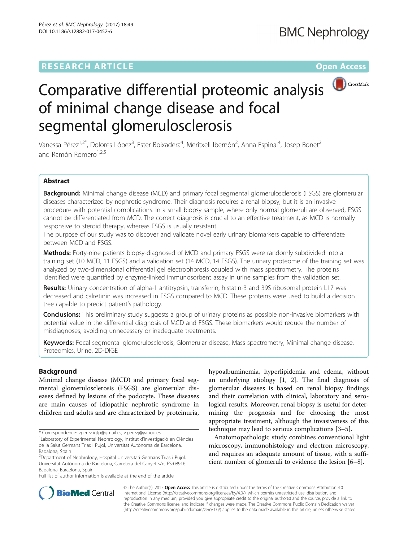## **RESEARCH ARTICLE Example 2014 12:30 The Contract of Contract ACCESS**



# Comparative differential proteomic analysis of minimal change disease and focal segmental glomerulosclerosis

Vanessa Pérez<sup>1,2\*</sup>, Dolores López<sup>3</sup>, Ester Boixadera<sup>4</sup>, Meritxell Ibernón<sup>2</sup>, Anna Espinal<sup>4</sup>, Josep Bonet<sup>2</sup> and Ramón Romero $1,2,5$ 

## Abstract

Background: Minimal change disease (MCD) and primary focal segmental glomerulosclerosis (FSGS) are glomerular diseases characterized by nephrotic syndrome. Their diagnosis requires a renal biopsy, but it is an invasive procedure with potential complications. In a small biopsy sample, where only normal glomeruli are observed, FSGS cannot be differentiated from MCD. The correct diagnosis is crucial to an effective treatment, as MCD is normally responsive to steroid therapy, whereas FSGS is usually resistant.

The purpose of our study was to discover and validate novel early urinary biomarkers capable to differentiate between MCD and FSGS.

Methods: Forty-nine patients biopsy-diagnosed of MCD and primary FSGS were randomly subdivided into a training set (10 MCD, 11 FSGS) and a validation set (14 MCD, 14 FSGS). The urinary proteome of the training set was analyzed by two-dimensional differential gel electrophoresis coupled with mass spectrometry. The proteins identified were quantified by enzyme-linked immunosorbent assay in urine samples from the validation set.

Results: Urinary concentration of alpha-1 antitrypsin, transferrin, histatin-3 and 39S ribosomal protein L17 was decreased and calretinin was increased in FSGS compared to MCD. These proteins were used to build a decision tree capable to predict patient's pathology.

**Conclusions:** This preliminary study suggests a group of urinary proteins as possible non-invasive biomarkers with potential value in the differential diagnosis of MCD and FSGS. These biomarkers would reduce the number of misdiagnoses, avoiding unnecessary or inadequate treatments.

Keywords: Focal segmental glomerulosclerosis, Glomerular disease, Mass spectrometry, Minimal change disease, Proteomics, Urine, 2D-DIGE

## Background

Minimal change disease (MCD) and primary focal segmental glomerulosclerosis (FSGS) are glomerular diseases defined by lesions of the podocyte. These diseases are main causes of idiopathic nephrotic syndrome in children and adults and are characterized by proteinuria,

Full list of author information is available at the end of the article

hypoalbuminemia, hyperlipidemia and edema, without an underlying etiology [[1](#page-7-0), [2\]](#page-7-0). The final diagnosis of glomerular diseases is based on renal biopsy findings and their correlation with clinical, laboratory and serological results. Moreover, renal biopsy is useful for determining the prognosis and for choosing the most appropriate treatment, although the invasiveness of this technique may lead to serious complications [\[3](#page-7-0)–[5\]](#page-7-0).

Anatomopathologic study combines conventional light microscopy, immunohistology and electron microscopy, and requires an adequate amount of tissue, with a sufficient number of glomeruli to evidence the lesion [[6](#page-8-0)–[8\]](#page-8-0).



© The Author(s). 2017 **Open Access** This article is distributed under the terms of the Creative Commons Attribution 4.0 International License [\(http://creativecommons.org/licenses/by/4.0/](http://creativecommons.org/licenses/by/4.0/)), which permits unrestricted use, distribution, and reproduction in any medium, provided you give appropriate credit to the original author(s) and the source, provide a link to the Creative Commons license, and indicate if changes were made. The Creative Commons Public Domain Dedication waiver [\(http://creativecommons.org/publicdomain/zero/1.0/](http://creativecommons.org/publicdomain/zero/1.0/)) applies to the data made available in this article, unless otherwise stated.

<sup>\*</sup> Correspondence: [vperez.igtp@gmail.es](mailto:vperez.igtp@gmail.es); [v.perezj@yahoo.es](mailto:v.perezj@yahoo.es) <sup>1</sup>

Laboratory of Experimental Nephrology, Institut d'Investigació en Ciències de la Salut Germans Trias i Pujol, Universitat Autònoma de Barcelona, Badalona, Spain

<sup>&</sup>lt;sup>2</sup> Department of Nephrology, Hospital Universitari Germans Trias i Pujol, Universitat Autònoma de Barcelona, Carretera del Canyet s/n, ES-08916 Badalona, Barcelona, Spain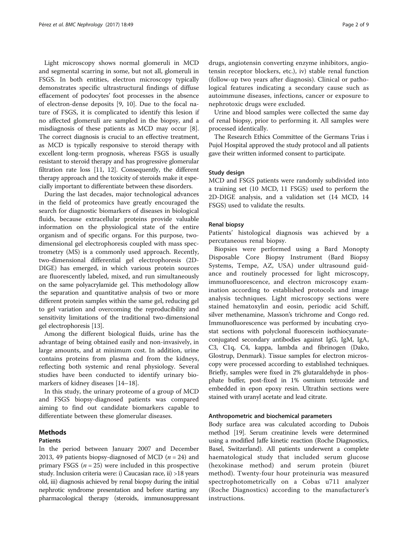Light microscopy shows normal glomeruli in MCD and segmental scarring in some, but not all, glomeruli in FSGS. In both entities, electron microscopy typically demonstrates specific ultrastructural findings of diffuse effacement of podocytes' foot processes in the absence of electron-dense deposits [\[9](#page-8-0), [10](#page-8-0)]. Due to the focal nature of FSGS, it is complicated to identify this lesion if no affected glomeruli are sampled in the biopsy, and a misdiagnosis of these patients as MCD may occur [\[8](#page-8-0)]. The correct diagnosis is crucial to an effective treatment, as MCD is typically responsive to steroid therapy with excellent long-term prognosis, whereas FSGS is usually resistant to steroid therapy and has progressive glomerular filtration rate loss [\[11, 12\]](#page-8-0). Consequently, the different therapy approach and the toxicity of steroids make it especially important to differentiate between these disorders.

During the last decades, major technological advances in the field of proteomics have greatly encouraged the search for diagnostic biomarkers of diseases in biological fluids, because extracellular proteins provide valuable information on the physiological state of the entire organism and of specific organs. For this purpose, twodimensional gel electrophoresis coupled with mass spectrometry (MS) is a commonly used approach. Recently, two-dimensional differential gel electrophoresis (2D-DIGE) has emerged, in which various protein sources are fluorescently labeled, mixed, and run simultaneously on the same polyacrylamide gel. This methodology allow the separation and quantitative analysis of two or more different protein samples within the same gel, reducing gel to gel variation and overcoming the reproducibility and sensitivity limitations of the traditional two-dimensional gel electrophoresis [[13](#page-8-0)].

Among the different biological fluids, urine has the advantage of being obtained easily and non-invasively, in large amounts, and at minimum cost. In addition, urine contains proteins from plasma and from the kidneys, reflecting both systemic and renal physiology. Several studies have been conducted to identify urinary biomarkers of kidney diseases [[14](#page-8-0)–[18\]](#page-8-0).

In this study, the urinary proteome of a group of MCD and FSGS biopsy-diagnosed patients was compared aiming to find out candidate biomarkers capable to differentiate between these glomerular diseases.

#### Methods

#### Patients

In the period between January 2007 and December 2013, 49 patients biopsy-diagnosed of MCD  $(n = 24)$  and primary FSGS ( $n = 25$ ) were included in this prospective study. Inclusion criteria were: i) Caucasian race, ii) >18 years old, iii) diagnosis achieved by renal biopsy during the initial nephrotic syndrome presentation and before starting any pharmacological therapy (steroids, immunosuppressant

drugs, angiotensin converting enzyme inhibitors, angiotensin receptor blockers, etc.), iv) stable renal function (follow-up two years after diagnosis). Clinical or pathological features indicating a secondary cause such as autoimmune diseases, infections, cancer or exposure to nephrotoxic drugs were excluded.

Urine and blood samples were collected the same day of renal biopsy, prior to performing it. All samples were processed identically.

The Research Ethics Committee of the Germans Trias i Pujol Hospital approved the study protocol and all patients gave their written informed consent to participate.

#### Study design

MCD and FSGS patients were randomly subdivided into a training set (10 MCD, 11 FSGS) used to perform the 2D-DIGE analysis, and a validation set (14 MCD, 14 FSGS) used to validate the results.

#### Renal biopsy

Patients' histological diagnosis was achieved by a percutaneous renal biopsy.

Biopsies were performed using a Bard Monopty Disposable Core Biopsy Instrument (Bard Biopsy Systems, Tempe, AZ, USA) under ultrasound guidance and routinely processed for light microscopy, immunofluorescence, and electron microscopy examination according to established protocols and image analysis techniques. Light microscopy sections were stained hematoxylin and eosin, periodic acid Schiff, silver methenamine, Masson's trichrome and Congo red. Immunofluorescence was performed by incubating cryostat sections with polyclonal fluorescein isothiocyanateconjugated secondary antibodies against IgG, IgM, IgA, C3, C1q, C4, kappa, lambda and fibrinogen (Dako, Glostrup, Denmark). Tissue samples for electron microscopy were processed according to established techniques. Briefly, samples were fixed in 2% glutaraldehyde in phosphate buffer, post-fixed in 1% osmium tetroxide and embedded in epon epoxy resin. Ultrathin sections were stained with uranyl acetate and lead citrate.

#### Anthropometric and biochemical parameters

Body surface area was calculated according to Dubois method [\[19\]](#page-8-0). Serum creatinine levels were determined using a modified Jaffe kinetic reaction (Roche Diagnostics, Basel, Switzerland). All patients underwent a complete haematological study that included serum glucose (hexokinase method) and serum protein (biuret method). Twenty-four hour proteinuria was measured spectrophotometrically on a Cobas u711 analyzer (Roche Diagnostics) according to the manufacturer's instructions.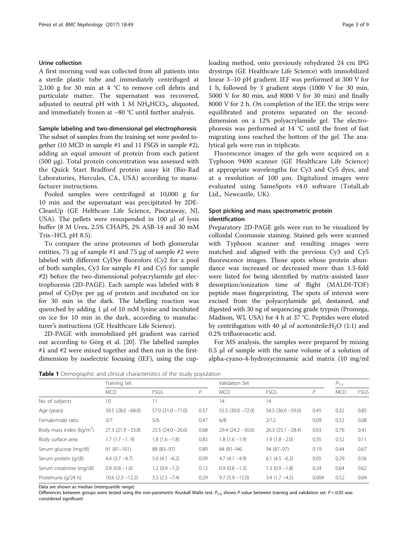### <span id="page-2-0"></span>Urine collection

A first morning void was collected from all patients into a sterile plastic tube and immediately centrifuged at 2,100 g for 30 min at 4 °C to remove cell debris and particulate matter. The supernatant was recovered, adjusted to neutral pH with 1 M  $NH_4HCO_3$ , aliquoted, and immediately frozen at −80 °C until further analysis.

#### Sample labeling and two-dimensional gel electrophoresis

The subset of samples from the training set were pooled together (10 MCD in sample #1 and 11 FSGS in sample #2), adding an equal amount of protein from each patient (500 μg). Total protein concentration was assessed with the Quick Start Bradford protein assay kit (Bio-Rad Laboratories, Hercules, CA, USA) according to manufacturer instructions.

Pooled samples were centrifuged at 10,000 g for 10 min and the supernatant was precipitated by 2DE-CleanUp (GE Helthcare Life Science, Piscataway, NJ, USA). The pellets were resuspended in 100 μl of lysis buffer (8 M Urea, 2.5% CHAPS, 2% ASB-14 and 30 mM Tris–HCl, pH 8.5).

To compare the urine proteomes of both glomerular entities, 75 μg of sample #1 and 75 μg of sample #2 were labeled with different CyDye fluorofors (Cy2 for a pool of both samples, Cy3 for sample #1 and Cy5 for sample #2) before the two-dimensional polyacrylamide gel electrophoresis (2D-PAGE). Each sample was labeled with 8 pmol of CyDye per μg of protein and incubated on ice for 30 min in the dark. The labelling reaction was quenched by adding 1 μl of 10 mM lysine and incubated on ice for 10 min in the dark, according to manufacturer's instructions (GE Healthcare Life Science).

2D-PAGE with immobilized pH gradient was carried out according to Görg et al. [[20](#page-8-0)]. The labelled samples #1 and #2 were mixed together and then run in the firstdimension by isoelectric focusing (IEF), using the cuploading method, onto previously rehydrated 24 cm IPG drystrips (GE Healthcare Life Science) with immobilized linear 3–10 pH gradient. IEF was performed at 300 V for 1 h, followed by 3 gradient steps (1000 V for 30 min, 5000 V for 80 min, and 8000 V for 30 min) and finally 8000 V for 2 h. On completion of the IEF, the strips were equilibrated and proteins separated on the seconddimension on a 12% polyacrylamide gel. The electrophoresis was performed at 14 °C until the front of fast migrating ions reached the bottom of the gel. The analytical gels were run in triplicate.

Fluorescence images of the gels were acquired on a Typhoon 9400 scanner (GE Healthcare Life Science) at appropriate wavelengths for Cy3 and Cy5 dyes, and at a resolution of 100 μm. Digitalized images were evaluated using SameSpots v4.0 software (TotalLab Ltd., Newcastle, UK).

## Spot picking and mass spectrometric protein identification

Preparatory 2D-PAGE gels were run to be visualized by colloidal Coomassie staining. Stained gels were scanned with Typhoon scanner and resulting images were matched and aligned with the previous Cy3 and Cy5 fluorescence images. Those spots whose protein abundance was increased or decreased more than 1.5-fold were listed for being identified by matrix-assisted laser desorption/ionization time of flight (MALDI-TOF) peptide mass fingerprinting. The spots of interest were excised from the polyacrylamide gel, destained, and digested with 30 ng of sequencing grade trypsin (Promega, Madison, WI, USA) for 4 h at 37 °C. Peptides were eluted by centrifugation with 40  $\mu$ l of acetonitrile:H<sub>2</sub>O (1:1) and 0.2% trifluoroacetic acid.

For MS analysis, the samples were prepared by mixing 0.5 μl of sample with the same volume of a solution of alpha-cyano-4-hydroxycinnamic acid matrix (10 mg/ml

Table 1 Demographic and clinical characteristics of the study population

|                                     | Training Set          |                     |      | Validation Set      |                     |       | $P_{T-V}$  |      |
|-------------------------------------|-----------------------|---------------------|------|---------------------|---------------------|-------|------------|------|
|                                     | <b>MCD</b>            | <b>FSGS</b>         | P    | <b>MCD</b>          | <b>FSGS</b>         | P     | <b>MCD</b> | FSGS |
| No. of subjects                     | 10                    | 11                  |      | 14                  | 14                  |       |            |      |
| Age (years)                         | $39.5(28.0 - 68.0)$   | $57.0(31.0 - 71.0)$ | 0.57 | $55.5(30.0 - 72.0)$ | $54.5(36.0 - 59.0)$ | 0.45  | 0.32       | 0.85 |
| Female/male ratio                   | 3/7                   | 5/6                 | 0.47 | 6/8                 | 2/12                | 0.09  | 0.52       | 0.08 |
| Body mass index ( $\text{kg/m}^2$ ) | $27.3(21.9 - 33.8)$   | $25.5(24.0 - 26.6)$ | 0.68 | $29.4(24.2 - 30.6)$ | $26.3(25.1 - 28.4)$ | 0.63  | 0.76       | 0.41 |
| Body surface area                   | $1.7(1.7 - 1.9)$      | $1.8(1.6 - 1.8)$    | 0.83 | $1.8(1.6 - 1.9)$    | $1.9(1.8 - 2.0)$    | 0.35  | 0.52       | 0.11 |
| Serum glucose (mg/dl)               | $91(81-101)$          | 88 (83-97)          | 0.89 | 84 (81-94)          | 94 (87-97)          | 0.19  | 0.44       | 0.67 |
| Serum protein (g/dl)                | $4.4$ (3.7 $-4.7$ )   | $5.0(4.1 - 6.2)$    | 0.09 | $4.7(4.1 - 4.9)$    | $6.1(4.5 - 6.3)$    | 0.05  | 0.29       | 0.56 |
| Serum creatinine (mg/dl)            | $0.9(0.8 - 1.0)$      | $1.2(0.9 - 1.2)$    | 0.12 | $0.9(0.8 - 1.3)$    | $1.3(0.9 - 1.8)$    | 0.24  | 0.64       | 0.62 |
| Proteinuria (g/24 h)                | $10.6$ $(2.3 - 12.2)$ | $3.5(2.5 - 7.4)$    | 0.29 | $9.7(5.9 - 15.0)$   | $3.4(1.7 - 4.5)$    | 0.004 | 0.52       | 0.64 |

Data are shown as median (interquartile range)

Differences between groups were tested using the non-parametric Kruskall Wallis test.  $P_{T-V}$  shows P value between training and validation set.  $P < 0.05$  was considered significant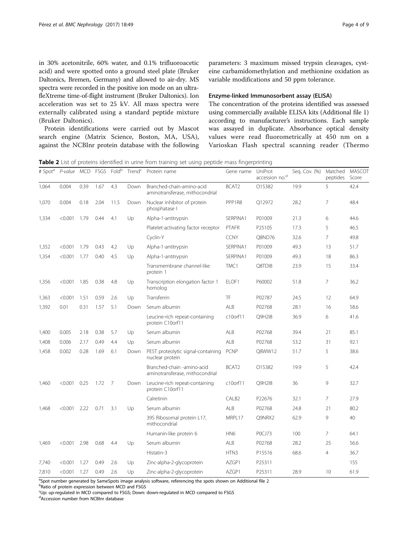<span id="page-3-0"></span>in 30% acetonitrile, 60% water, and 0.1% trifluoroacetic acid) and were spotted onto a ground steel plate (Bruker Daltonics, Bremen, Germany) and allowed to air-dry. MS spectra were recorded in the positive ion mode on an ultrafleXtreme time-of-flight instrument (Bruker Daltonics). Ion acceleration was set to 25 kV. All mass spectra were externally calibrated using a standard peptide mixture (Bruker Daltonics).

Protein identifications were carried out by Mascot search engine (Matrix Science, Boston, MA, USA), against the NCBInr protein database with the following

parameters: 3 maximum missed trypsin cleavages, cysteine carbamidomethylation and methionine oxidation as variable modifications and 50 ppm tolerance.

### Enzyme-linked Immunosorbent assay (ELISA)

The concentration of the proteins identified was assessed using commercially available ELISA kits (Additional file [1](#page-7-0)) according to manufacturer's instructions. Each sample was assayed in duplicate. Absorbance optical density values were read fluorometrically at 450 nm on a Varioskan Flash spectral scanning reader (Thermo

Table 2 List of proteins identified in urine from training set using peptide mass fingerprinting

| # Spot <sup>a</sup> |         |          |      |      | P-value MCD FSGS Fold <sup>b</sup> Trend <sup>c</sup> | Protein name                                                  | Gene name         | UniProt<br>accession no. <sup>d</sup> | Seq. Cov. (%) | Matched<br>peptides | <b>MASCOT</b><br>Score |
|---------------------|---------|----------|------|------|-------------------------------------------------------|---------------------------------------------------------------|-------------------|---------------------------------------|---------------|---------------------|------------------------|
| 1,064               | 0.004   | 0.39     | 1.67 | 4.3  | Down                                                  | Branched-chain-amino-acid<br>aminotransferase, mithocondrial  | BCAT2             | O15382                                | 19.9          | 5                   | 42.4                   |
| 1,070               | 0.004   | 0.18     | 2.04 | 11.5 | Down                                                  | Nuclear inhibitor of protein<br>phosphatase I                 | PPP1R8            | Q12972                                | 28.2          | $\overline{7}$      | 48.4                   |
| 1,334               | < 0.001 | 1.79     | 0.44 | 4.1  | Up                                                    | Alpha-1-antitrypsin                                           | SERPINA1          | P01009                                | 21.3          | 6                   | 44.6                   |
|                     |         |          |      |      |                                                       | Platelet-activating factor receptor                           | <b>PTAFR</b>      | P25105                                | 17.3          | 5                   | 46.5                   |
|                     |         | Cyclin-Y |      |      | <b>CCNY</b>                                           | Q8ND76                                                        | 32.6              | $\overline{7}$                        | 49.8          |                     |                        |
| 1,352               | < 0.001 | 1.79     | 0.43 | 4.2  | Up                                                    | Alpha-1-antitrypsin                                           | SERPINA1          | P01009                                | 49.3          | 13                  | 51.7                   |
| 1,354               | < 0.001 | 1.77     | 0.40 | 4.5  | Up                                                    | Alpha-1-antitrypsin                                           | SERPINA1          | P01009                                | 49.3          | 18                  | 86.3                   |
|                     |         |          |      |      |                                                       | Transmembrane channel-like<br>protein 1                       | TMC1              | Q8TDI8                                | 23.9          | 15                  | 33.4                   |
| 1,356               | < 0.001 | 1.85     | 0.38 | 4.8  | Up                                                    | Transcription elongation factor 1<br>homolog                  | ELOF1             | P60002                                | 51.8          | $\overline{7}$      | 36.2                   |
| 1,363               | < 0.001 | 1.51     | 0.59 | 2.6  | Up                                                    | Transferrin                                                   | TF                | P02787                                | 24.5          | 12                  | 64.9                   |
| 1,392               | 0.01    | 0.31     | 1.57 | 5.1  | Down                                                  | Serum albumin                                                 | ALB               | P02768                                | 28.1          | 16                  | 58.6                   |
|                     |         |          |      |      |                                                       | Leucine-rich repeat-containing<br>protein C10orf11            | c10orf11          | Q9H2I8                                | 36.9          | 6                   | 41.6                   |
| 1,400               | 0.005   | 2.18     | 0.38 | 5.7  | Up                                                    | Serum albumin                                                 | ALB               | P02768                                | 39.4          | 21                  | 85.1                   |
| 1,408               | 0.006   | 2.17     | 0.49 | 4.4  | Up                                                    | Serum albumin                                                 | ALB               | P02768                                | 53.2          | 31                  | 92.1                   |
| 1,458               | 0.002   | 0.28     | 1.69 | 6.1  | Down                                                  | PEST proteolytic signal-containing<br>nuclear protein         | <b>PCNP</b>       | Q8WW12                                | 51.7          | 5                   | 38.6                   |
|                     |         |          |      |      |                                                       | Branched-chain -amino-acid<br>aminotransferase, mithocondrial | BCAT2             | O15382                                | 19.9          | 5                   | 42.4                   |
| 1,460               | < 0.001 | 0.25     | 1.72 | - 7  | Down                                                  | Leucine-rich repeat-containing<br>protein C10orf11            | c10orf11          | Q9H2I8                                | 36            | 9                   | 32.7                   |
|                     |         |          |      |      |                                                       | Calretinin                                                    | CALB <sub>2</sub> | P22676                                | 32.1          | $\overline{7}$      | 27.9                   |
| 1,468               | < 0.001 | 2.22     | 0.71 | 3.1  | Up                                                    | Serum albumin                                                 | ALB               | P02768                                | 24.8          | 21                  | 80.2                   |
|                     |         |          |      |      |                                                       | 39S Ribosomal protein L17,<br>mithocondrial                   | MRPL17            | Q9NRX2                                | 62.9          | 9                   | 40                     |
|                     |         |          |      |      |                                                       | Humanin-like protein 6                                        | HN <sub>6</sub>   | POCJ73                                | 100           | $\overline{7}$      | 64.1                   |
| 1,469               | < 0.001 | 2.98     | 0.68 | 4.4  | Up                                                    | Serum albumin                                                 | ALB               | P02768                                | 28.2          | 25                  | 56.6                   |
|                     |         |          |      |      |                                                       | Histatin-3                                                    | HTN3              | P15516                                | 68.6          | $\overline{4}$      | 36.7                   |
| 7,740               | < 0.001 | 1.27     | 0.49 | 2.6  | Up                                                    | Zinc-alpha-2-glycoprotein                                     | AZGP1             | P25311                                |               |                     | 155                    |
| 7,810               | < 0.001 | 1.27     | 0.49 | 2.6  | Up                                                    | Zinc-alpha-2-glycoprotein                                     | AZGP1             | P25311                                | 28.9          | 10                  | 61.9                   |

<sup>a</sup>Spot number generated by SameSpots image analysis software, referencing the spots shown on Additional file [2](#page-7-0)<br>Paatie of protein expression between MCD and ESGS

**bRatio of protein expression between MCD and FSGS** 

Up: up-regulated in MCD compared to FSGS; Down: down-regulated in MCD compared to FSGS

d Accession number from NCBInr database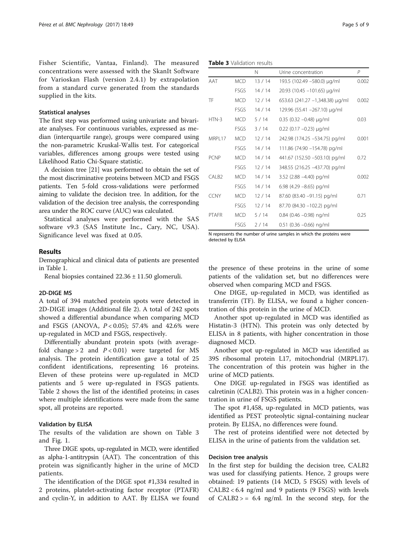Fisher Scientific, Vantaa, Finland). The measured concentrations were assessed with the SkanIt Software for Varioskan Flash (version 2.4.1) by extrapolation from a standard curve generated from the standards supplied in the kits.

#### Statistical analyses

The first step was performed using univariate and bivariate analyses. For continuous variables, expressed as median (interquartile range), groups were compared using the non-parametric Kruskal-Wallis test. For categorical variables, differences among groups were tested using Likelihood Ratio Chi-Square statistic.

A decision tree [[21](#page-8-0)] was performed to obtain the set of the most discriminative proteins between MCD and FSGS patients. Ten 5-fold cross-validations were performed aiming to validate the decision tree. In addition, for the validation of the decision tree analysis, the corresponding area under the ROC curve (AUC) was calculated.

Statistical analyses were performed with the SAS software v9.3 (SAS Institute Inc., Cary, NC, USA). Significance level was fixed at 0.05.

## Results

Demographical and clinical data of patients are presented in Table [1](#page-2-0).

Renal biopsies contained 22.36 ± 11.50 glomeruli.

#### 2D-DIGE MS

A total of 394 matched protein spots were detected in 2D-DIGE images (Additional file [2\)](#page-7-0). A total of 242 spots showed a differential abundance when comparing MCD and FSGS (ANOVA,  $P < 0.05$ ); 57.4% and 42.6% were up-regulated in MCD and FSGS, respectively.

Differentially abundant protein spots (with averagefold change > 2 and  $P < 0.01$ ) were targeted for MS analysis. The protein identification gave a total of 25 confident identifications, representing 16 proteins. Eleven of these proteins were up-regulated in MCD patients and 5 were up-regulated in FSGS patients. Table [2](#page-3-0) shows the list of the identified proteins; in cases where multiple identifications were made from the same spot, all proteins are reported.

## Validation by ELISA

The results of the validation are shown on Table 3 and Fig. [1.](#page-5-0)

Three DIGE spots, up-regulated in MCD, were identified as alpha-1-antitrypsin (AAT). The concentration of this protein was significantly higher in the urine of MCD patients.

The identification of the DIGE spot #1,334 resulted in 2 proteins, platelet-activating factor receptor (PTAFR) and cyclin-Y, in addition to AAT. By ELISA we found

Table 3 Validation results

|                    |             | N     | Urine concentration             | P     |
|--------------------|-------------|-------|---------------------------------|-------|
| AAT                | <b>MCD</b>  | 13/14 | 193.5 (102.49 –580.0) µg/ml     | 0.002 |
|                    | <b>FSGS</b> | 14/14 | 20.93 (10.45 -101.65) µg/ml     |       |
| TF                 | <b>MCD</b>  | 12/14 | 653.63 (241.27 -1,348.38) µg/ml | 0.002 |
|                    | <b>FSGS</b> | 14/14 | 129.96 (55.41 -267.10) µg/ml    |       |
| $HTN-3$            | <b>MCD</b>  | 5/14  | $0.35$ (0.32 -0.48) $\mu$ g/ml  | 0.03  |
|                    | <b>FSGS</b> | 3/14  | $0.22$ (0.17 -0.23) $\mu$ g/ml  |       |
| <b>MRPI 17</b>     | <b>MCD</b>  | 12/14 | 242.98 (174.25 -534.75) pg/ml   | 0.001 |
|                    | <b>FSGS</b> | 14/14 | 111.86 (74.90 -154.78) pg/ml    |       |
| PCNP               | <b>MCD</b>  | 14/14 | 441.67 (152.50 -503.10) pg/ml   | 0.72  |
|                    | <b>FSGS</b> | 12/14 | 348.55 (216.25 - 437.70) pg/ml  |       |
| CAI B <sub>2</sub> | <b>MCD</b>  | 14/14 | 3.52 (2.88 -4.40) pg/ml         | 0.002 |
|                    | <b>FSGS</b> | 14/14 | 6.98 (4.29 -8.65) pg/ml         |       |
| <b>CCNY</b>        | <b>MCD</b>  | 12/14 | 87.60 (83.40 -91.15) pg/ml      | 0.71  |
|                    | <b>FSGS</b> | 12/14 | 87.70 (84.30 -102.2) pg/ml      |       |
| <b>PTAFR</b>       | <b>MCD</b>  | 5/14  | 0.84 (0.46 -0.98) ng/ml         | 0.25  |
|                    | <b>FSGS</b> | 2/14  | $0.51$ (0.36 -0.66) ng/ml       |       |

N represents the number of urine samples in which the proteins were detected by ELISA

the presence of these proteins in the urine of some patients of the validation set, but no differences were observed when comparing MCD and FSGS.

One DIGE, up-regulated in MCD, was identified as transferrin (TF). By ELISA, we found a higher concentration of this protein in the urine of MCD.

Another spot up-regulated in MCD was identified as Histatin-3 (HTN). This protein was only detected by ELISA in 8 patients, with higher concentration in those diagnosed MCD.

Another spot up-regulated in MCD was identified as 39S ribosomal protein L17, mitochondrial (MRPL17). The concentration of this protein was higher in the urine of MCD patients.

One DIGE up-regulated in FSGS was identified as calretinin (CALB2). This protein was in a higher concentration in urine of FSGS patients.

The spot #1,458, up-regulated in MCD patients, was identified as PEST proteolytic signal-containing nuclear protein. By ELISA, no differences were found.

The rest of proteins identified were not detected by ELISA in the urine of patients from the validation set.

#### Decision tree analysis

In the first step for building the decision tree, CALB2 was used for classifying patients. Hence, 2 groups were obtained: 19 patients (14 MCD, 5 FSGS) with levels of CALB2 < 6.4 ng/ml and 9 patients (9 FSGS) with levels of  $CALB2 > = 6.4$  ng/ml. In the second step, for the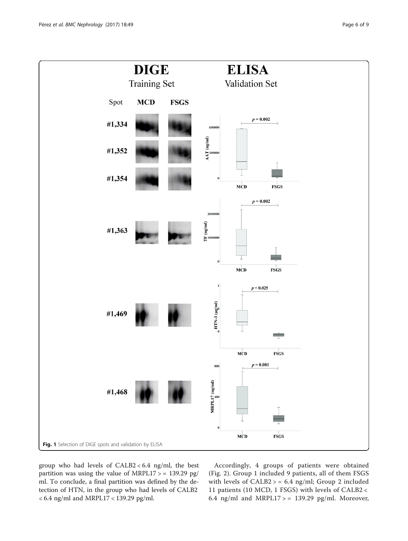<span id="page-5-0"></span>

group who had levels of CALB2 < 6.4 ng/ml, the best partition was using the value of MRPL17 > = 139.29 pg/ ml. To conclude, a final partition was defined by the detection of HTN, in the group who had levels of CALB2 < 6.4 ng/ml and MRPL17 < 139.29 pg/ml.

Accordingly, 4 groups of patients were obtained (Fig. [2\)](#page-6-0). Group 1 included 9 patients, all of them FSGS with levels of CALB2 > = 6.4 ng/ml; Group 2 included 11 patients (10 MCD, 1 FSGS) with levels of CALB2 < 6.4 ng/ml and MRPL17 > = 139.29 pg/ml. Moreover,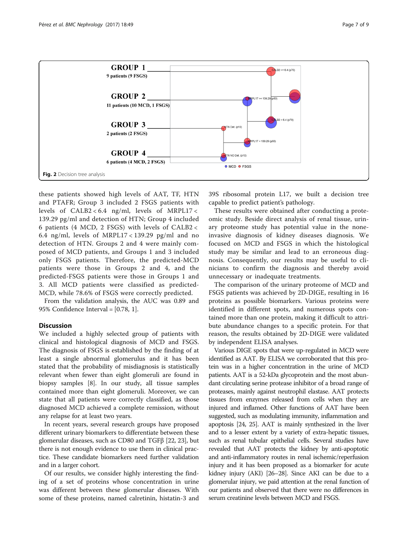<span id="page-6-0"></span>

these patients showed high levels of AAT, TF, HTN and PTAFR; Group 3 included 2 FSGS patients with levels of CALB2 < 6.4 ng/ml, levels of MRPL17 < 139.29 pg/ml and detection of HTN; Group 4 included 6 patients (4 MCD, 2 FSGS) with levels of CALB2 < 6.4 ng/ml, levels of MRPL17 < 139.29 pg/ml and no detection of HTN. Groups 2 and 4 were mainly composed of MCD patients, and Groups 1 and 3 included only FSGS patients. Therefore, the predicted-MCD patients were those in Groups 2 and 4, and the predicted-FSGS patients were those in Groups 1 and 3. All MCD patients were classified as predicted-MCD, while 78.6% of FSGS were correctly predicted.

From the validation analysis, the AUC was 0.89 and 95% Confidence Interval = [0.78, 1].

## Discussion

We included a highly selected group of patients with clinical and histological diagnosis of MCD and FSGS. The diagnosis of FSGS is established by the finding of at least a single abnormal glomerulus and it has been stated that the probability of misdiagnosis is statistically relevant when fewer than eight glomeruli are found in biopsy samples [[8\]](#page-8-0). In our study, all tissue samples contained more than eight glomeruli. Moreover, we can state that all patients were correctly classified, as those diagnosed MCD achieved a complete remission, without any relapse for at least two years.

In recent years, several research groups have proposed different urinary biomarkers to differentiate between these glomerular diseases, such as CD80 and TGFβ [\[22, 23](#page-8-0)], but there is not enough evidence to use them in clinical practice. These candidate biomarkers need further validation and in a larger cohort.

Of our results, we consider highly interesting the finding of a set of proteins whose concentration in urine was different between these glomerular diseases. With some of these proteins, named calretinin, histatin-3 and

39S ribosomal protein L17, we built a decision tree capable to predict patient's pathology.

These results were obtained after conducting a proteomic study. Beside direct analysis of renal tissue, urinary proteome study has potential value in the noneinvasive diagnosis of kidney diseases diagnosis. We focused on MCD and FSGS in which the histological study may be similar and lead to an erroneous diagnosis. Consequently, our results may be useful to clinicians to confirm the diagnosis and thereby avoid unnecessary or inadequate treatments.

The comparison of the urinary proteome of MCD and FSGS patients was achieved by 2D-DIGE, resulting in 16 proteins as possible biomarkers. Various proteins were identified in different spots, and numerous spots contained more than one protein, making it difficult to attribute abundance changes to a specific protein. For that reason, the results obtained by 2D-DIGE were validated by independent ELISA analyses.

Various DIGE spots that were up-regulated in MCD were identified as AAT. By ELISA we corroborated that this protein was in a higher concentration in the urine of MCD patients. AAT is a 52-kDa glycoprotein and the most abundant circulating serine protease inhibitor of a broad range of proteases, mainly against neutrophil elastase. AAT protects tissues from enzymes released from cells when they are injured and inflamed. Other functions of AAT have been suggested, such as modulating immunity, inflammation and apoptosis [\[24](#page-8-0), [25\]](#page-8-0). AAT is mainly synthesized in the liver and to a lesser extent by a variety of extra-hepatic tissues, such as renal tubular epithelial cells. Several studies have revealed that AAT protects the kidney by anti-apoptotic and anti-inflammatory routes in renal ischemic/reperfusion injury and it has been proposed as a biomarker for acute kidney injury (AKI) [\[26](#page-8-0)–[28\]](#page-8-0). Since AKI can be due to a glomerular injury, we paid attention at the renal function of our patients and observed that there were no differences in serum creatinine levels between MCD and FSGS.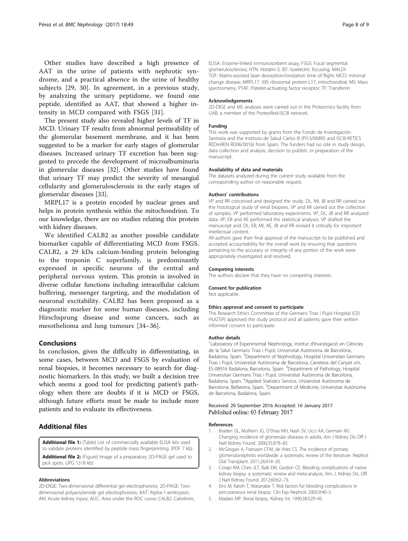<span id="page-7-0"></span>Other studies have described a high presence of AAT in the urine of patients with nephrotic syndrome, and a practical absence in the urine of healthy subjects [[29, 30](#page-8-0)]. In agreement, in a previous study, by analyzing the urinary peptidome, we found one peptide, identified as AAT, that showed a higher intensity in MCD compared with FSGS [[31\]](#page-8-0).

The present study also revealed higher levels of TF in MCD. Urinary TF results from abnormal permeability of the glomerular basement membrane, and it has been suggested to be a marker for early stages of glomerular diseases. Increased urinary TF excretion has been suggested to precede the development of microalbuminuria in glomerular diseases [\[32\]](#page-8-0). Other studies have found that urinary TF may predict the severity of mesangial cellularity and glomerulosclerosis in the early stages of glomerular diseases [[33\]](#page-8-0).

MRPL17 is a protein encoded by nuclear genes and helps in protein synthesis within the mitochondrion. To our knowledge, there are no studies relating this protein with kidney diseases.

We identified CALB2 as another possible candidate biomarker capable of differentiating MCD from FSGS. CALB2, a 29 kDa calcium-binding protein belonging to the troponin C superfamily, is predominantly expressed in specific neurons of the central and peripheral nervous system. This protein is involved in diverse cellular functions including intracellular calcium buffering, messenger targeting, and the modulation of neuronal excitability. CALB2 has been proposed as a diagnostic marker for some human diseases, including Hirschsprung disease and some cancers, such as mesothelioma and lung tumours [[34](#page-8-0)–[36\]](#page-8-0).

#### Conclusions

In conclusion, given the difficulty in differentiating, in some cases, between MCD and FSGS by evaluation of renal biopsies, it becomes necessary to search for diagnostic biomarkers. In this study, we built a decision tree which seems a good tool for predicting patient's pathology when there are doubts if it is MCD or FSGS, although future efforts must be made to include more patients and to evaluate its effectiveness.

## Additional files

[Additional file 1:](dx.doi.org/10.1186/s12882-017-0452-6) (Table) List of commercially available ELISA kits used to validate proteins identified by peptide mass fingerprinting. (PDF 7 kb)

[Additional file 2:](dx.doi.org/10.1186/s12882-017-0452-6) (Figure) Image of a preparatory 2D-PAGE gel used to pick spots. (JPG 1318 kb)

#### Abbreviations

2D-DIGE: Two-dimensional differential gel electrophoresis; 2D-PAGE: Twodimensional polyacrylamide gel electrophoresis; AAT: Alpha-1-antitrypsin; AKI: Acute kidney injury; AUC: Area under the ROC curve; CALB2: Calretinin; ELISA: Enzyme-linked immunosorbent assay; FSGS: Focal segmental glomerulosclerosis; HTN: Histatin-3; IEF: Isoelectric focusing; MALDI-TOF: Matrix-assisted laser desorption/ionization time of flight; MCD: minimal change disease; MRPL17: 39S ribosomal protein L17, mitochondrial; MS: Mass spectrometry; PTAF: Platelet-activating factor receptor; TF: Transferrin

#### Acknowledgements

2D-DIGE and MS analyses were carried out in the Proteomics facility from UAB, a member of the ProteoRed-ISCIII network.

#### Funding

This work was supported by grants from the Fondo de Investigación Sanitaria and the Instituto de Salud Carlos III (PI13/00895 and ISCIII-RETICS REDinREN RD06/0016) from Spain. The funders had no role in study design, data collection and analysis, decision to publish, or preparation of the manuscript.

#### Availability of data and materials

The datasets analyzed during the current study available from the corresponding author on reasonable request.

#### Authors' contributions

VP and RR conceived and designed the study. DL, MI, JB and RR carried out the histological study of renal biopsies. VP and MI carried out the collection of samples. VP performed laboratory experiments. VP, DL, JB and RR analyzed data. VP, EB and AE performed the statistical analyses. VP drafted the manuscript and. DL, EB, MI, AE, JB and RR revised it critically for important intellectual content.

All authors gave their final approval of the manuscript to be published and accepted accountability for the overall work by ensuring that questions pertaining to the accuracy or integrity of any portion of the work were appropriately investigated and resolved.

#### Competing interests

The authors declare that they have no competing interests.

#### Consent for publication

Not applicable.

#### Ethics approval and consent to participate

The Research Ethics Committee of the Germans Trias i Pujol Hospital (CEI HUGTiP) approved the study protocol and all patients gave their written informed consent to participate.

#### Author details

<sup>1</sup> Laboratory of Experimental Nephrology, Institut d'Investigació en Ciències de la Salut Germans Trias i Pujol, Universitat Autònoma de Barcelona, Badalona, Spain. <sup>2</sup>Department of Nephrology, Hospital Universitari Germans Trias i Pujol, Universitat Autònoma de Barcelona, Carretera del Canyet s/n, ES-08916 Badalona, Barcelona, Spain. <sup>3</sup>Department of Pathology, Hospital Universitari Germans Trias i Pujol, Universitat Autònoma de Barcelona, Badalona, Spain. <sup>4</sup> Applied Statistics Service, Universitat Autònoma de Barcelona, Bellaterra, Spain. <sup>5</sup>Department of Medicine, Universitat Autònoma de Barcelona, Badalona, Spain.

#### Received: 20 September 2016 Accepted: 16 January 2017 Published online: 03 February 2017

#### References

- 1. Braden GL, Mulhern JG, O'Shea MH, Nash SV, Ucci AA, Germain MJ. Changing incidence of glomerular diseases in adults. Am J Kidney Dis Off J Natl Kidney Found. 2000;35:878–83.
- 2. McGrogan A, Franssen CFM, de Vries CS. The incidence of primary glomerulonephritis worldwide: a systematic review of the literature. Nephrol Dial Transplant. 2011;26:414–30.
- 3. Corapi KM, Chen JLT, Balk EM, Gordon CE. Bleeding complications of native kidney biopsy: a systematic review and meta-analysis. Am. J. Kidney Dis. Off. J Natl Kidney Found. 2012;60:62–73.
- 4. Eiro M, Katoh T, Watanabe T. Risk factors for bleeding complications in percutaneous renal biopsy. Clin Exp Nephrol. 2005;9:40–5.
- 5. Madaio MP. Renal biopsy. Kidney Int. 1990;38:529–43.